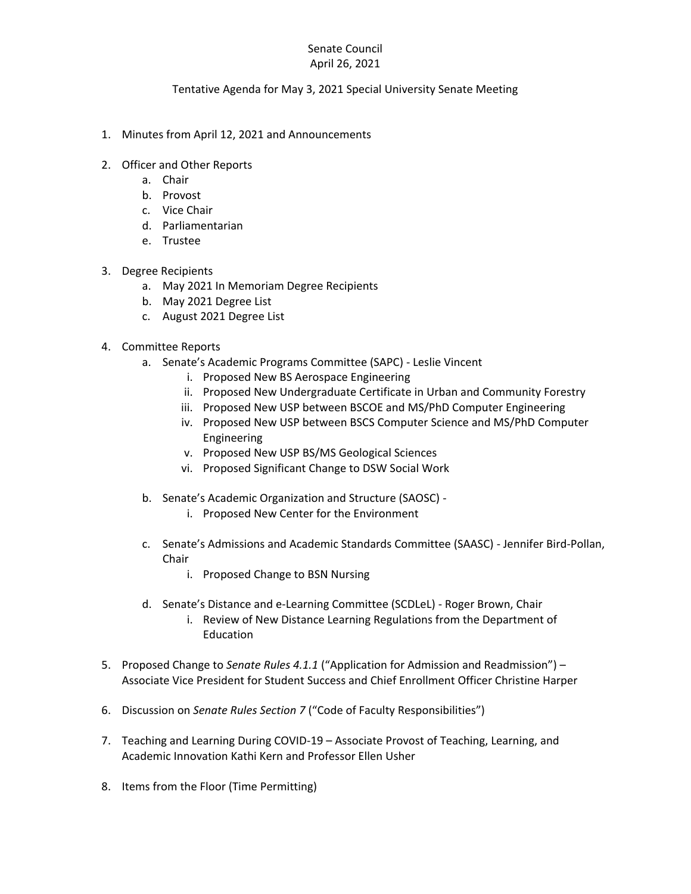## Senate Council April 26, 2021

## Tentative Agenda for May 3, 2021 Special University Senate Meeting

- 1. Minutes from April 12, 2021 and Announcements
- 2. Officer and Other Reports
	- a. Chair
	- b. Provost
	- c. Vice Chair
	- d. Parliamentarian
	- e. Trustee
- 3. Degree Recipients
	- a. May 2021 In Memoriam Degree Recipients
	- b. May 2021 Degree List
	- c. August 2021 Degree List
- 4. Committee Reports
	- a. Senate's Academic Programs Committee (SAPC) Leslie Vincent
		- i. Proposed New BS Aerospace Engineering
		- ii. Proposed New Undergraduate Certificate in Urban and Community Forestry
		- iii. Proposed New USP between BSCOE and MS/PhD Computer Engineering
		- iv. Proposed New USP between BSCS Computer Science and MS/PhD Computer Engineering
		- v. Proposed New USP BS/MS Geological Sciences
		- vi. Proposed Significant Change to DSW Social Work
	- b. Senate's Academic Organization and Structure (SAOSC)
		- i. Proposed New Center for the Environment
	- c. Senate's Admissions and Academic Standards Committee (SAASC) Jennifer Bird-Pollan, Chair
		- i. Proposed Change to BSN Nursing
	- d. Senate's Distance and e-Learning Committee (SCDLeL) Roger Brown, Chair
		- i. Review of New Distance Learning Regulations from the Department of Education
- 5. Proposed Change to *Senate Rules 4.1.1* ("Application for Admission and Readmission") Associate Vice President for Student Success and Chief Enrollment Officer Christine Harper
- 6. Discussion on *Senate Rules Section 7* ("Code of Faculty Responsibilities")
- 7. Teaching and Learning During COVID-19 Associate Provost of Teaching, Learning, and Academic Innovation Kathi Kern and Professor Ellen Usher
- 8. Items from the Floor (Time Permitting)